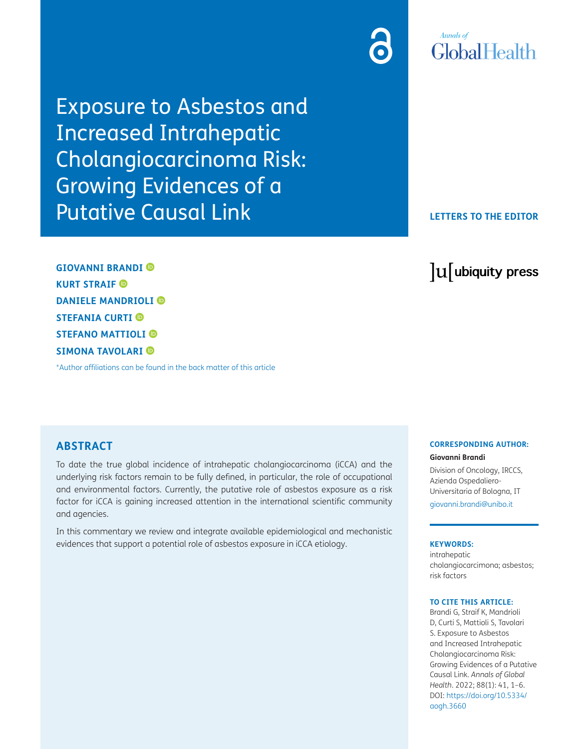Exposure to Asbestos and Increased Intrahepatic Cholangiocarcinoma Risk: Growing Evidences of a Putative Causal Link

**GIOVANNI BRANDI KURT STRAIF DANIELE MANDRIOLI STEFANIA CURTI STEFANO MATTIOLI SIMONA TAVOLARI**

[\\*Author affiliations can be found in the back matter of this article](#page-3-0)

### **ABSTRACT**

To date the true global incidence of intrahepatic cholangiocarcinoma (iCCA) and the underlying risk factors remain to be fully defined, in particular, the role of occupational and environmental factors. Currently, the putative role of asbestos exposure as a risk factor for iCCA is gaining increased attention in the international scientific community and agencies.

In this commentary we review and integrate available epidemiological and mechanistic evidences that support a potential role of asbestos exposure in iCCA etiology.

#### **CORRESPONDING AUTHOR:**

**Giovanni Brandi**

Division of Oncology, IRCCS, Azienda Ospedaliero-Universitaria of Bologna, IT [giovanni.brandi@unibo.it](mailto:giovanni.brandi@unibo.it)

#### **KEYWORDS:**

intrahepatic cholangiocarcimona; asbestos; risk factors

#### **TO CITE THIS ARTICLE:**

Brandi G, Straif K, Mandrioli D, Curti S, Mattioli S, Tavolari S. Exposure to Asbestos and Increased Intrahepatic Cholangiocarcinoma Risk: Growing Evidences of a Putative Causal Link. *Annals of Global Health*. 2022; 88(1): 41, 1–6. DOI: [https://doi.org/10.5334/](https://doi.org/10.5334/aogh.3660) [aogh.3660](https://doi.org/10.5334/aogh.3660)

# **Annals** of GlobalHealth

### **LETTERS TO THE EDITOR**

lu ubiquity press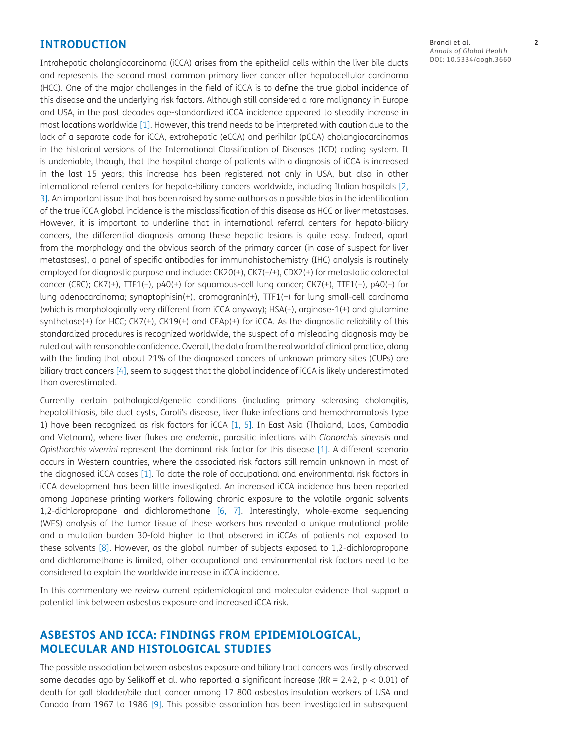### **INTRODUCTION**

Intrahepatic cholangiocarcinoma (iCCA) arises from the epithelial cells within the liver bile ducts and represents the second most common primary liver cancer after hepatocellular carcinoma (HCC). One of the major challenges in the field of iCCA is to define the true global incidence of this disease and the underlying risk factors. Although still considered a rare malignancy in Europe and USA, in the past decades age-standardized iCCA incidence appeared to steadily increase in most locations worldwide [\[1\].](#page-4-0) However, this trend needs to be interpreted with caution due to the lack of a separate code for iCCA, extrahepatic (eCCA) and perihilar (pCCA) cholangiocarcinomas in the historical versions of the International Classification of Diseases (ICD) coding system. It is undeniable, though, that the hospital charge of patients with a diagnosis of iCCA is increased in the last 15 years; this increase has been registered not only in USA, but also in other international referral centers for hepato-biliary cancers worldwide, including Italian hospitals [[2,](#page-4-1) [3\]](#page-4-2). An important issue that has been raised by some authors as a possible bias in the identification of the true iCCA global incidence is the misclassification of this disease as HCC or liver metastases. However, it is important to underline that in international referral centers for hepato-biliary cancers, the differential diagnosis among these hepatic lesions is quite easy. Indeed, apart from the morphology and the obvious search of the primary cancer (in case of suspect for liver metastases), a panel of specific antibodies for immunohistochemistry (IHC) analysis is routinely employed for diagnostic purpose and include: CK20(+), CK7(–/+), CDX2(+) for metastatic colorectal cancer (CRC); CK7(+), TTF1(–), p40(+) for squamous-cell lung cancer; CK7(+), TTF1(+), p40(–) for lung adenocarcinoma; synaptophisin(+), cromogranin(+), TTF1(+) for lung small-cell carcinoma (which is morphologically very different from iCCA anyway); HSA(+), arginase-1(+) and glutamine synthetase(+) for HCC; CK7(+), CK19(+) and CEAp(+) for iCCA. As the diagnostic reliability of this standardized procedures is recognized worldwide, the suspect of a misleading diagnosis may be ruled out with reasonable confidence. Overall, the data from the real world of clinical practice, along with the finding that about 21% of the diagnosed cancers of unknown primary sites (CUPs) are biliary tract cancers [\[4\],](#page-4-3) seem to suggest that the global incidence of iCCA is likely underestimated than overestimated.

Currently certain pathological/genetic conditions (including primary sclerosing cholangitis, hepatolithiasis, bile duct cysts, Caroli's disease, liver fluke infections and hemochromatosis type 1) have been recognized as risk factors for iCCA [\[1](#page-4-0), [5\]](#page-4-4). In East Asia (Thailand, Laos, Cambodia and Vietnam), where liver flukes are *endemic*, parasitic infections with *Clonorchis sinensis* and *Opisthorchis viverrini* represent the dominant risk factor for this disease [\[1\]](#page-4-0). A different scenario occurs in Western countries, where the associated risk factors still remain unknown in most of the diagnosed iCCA cases [\[1\]](#page-4-0). To date the role of occupational and environmental risk factors in iCCA development has been little investigated. An increased iCCA incidence has been reported among Japanese printing workers following chronic exposure to the volatile organic solvents 1,2-dichloropropane and dichloromethane [\[6](#page-4-5), [7\].](#page-4-6) Interestingly, whole-exome sequencing (WES) analysis of the tumor tissue of these workers has revealed a unique mutational profile and a mutation burden 30-fold higher to that observed in iCCAs of patients not exposed to these solvents [\[8\].](#page-4-7) However, as the global number of subjects exposed to 1,2-dichloropropane and dichloromethane is limited, other occupational and environmental risk factors need to be considered to explain the worldwide increase in iCCA incidence.

In this commentary we review current epidemiological and molecular evidence that support a potential link between asbestos exposure and increased iCCA risk.

## **ASBESTOS AND ICCA: FINDINGS FROM EPIDEMIOLOGICAL, MOLECULAR AND HISTOLOGICAL STUDIES**

The possible association between asbestos exposure and biliary tract cancers was firstly observed some decades ago by Selikoff et al. who reported a significant increase (RR = 2.42,  $p < 0.01$ ) of death for gall bladder/bile duct cancer among 17 800 asbestos insulation workers of USA and Canada from 1967 to 1986 [\[9\].](#page-4-8) This possible association has been investigated in subsequent

Brandi et al. **2** *Annals of Global Health* DOI: 10.5334/aogh.3660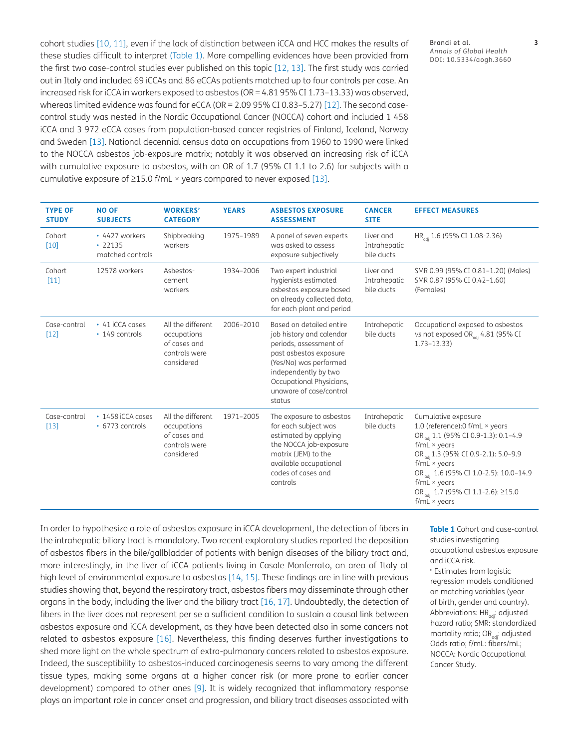cohort studies [\[10,](#page-4-9) [11\]](#page-4-10), even if the lack of distinction between iCCA and HCC makes the results of these studies difficult to interpret ([Table 1](#page-2-0)). More compelling evidences have been provided from the first two case-control studies ever published on this topic [\[12](#page-4-11), [13\]](#page-4-12). The first study was carried out in Italy and included 69 iCCAs and 86 eCCAs patients matched up to four controls per case. An increased risk for iCCA in workers exposed to asbestos (OR = 4.81 95% CI 1.73–13.33) was observed, whereas limited evidence was found for eCCA (OR = 2.09 95% CI 0.83-5.27) [\[12\]](#page-4-11). The second casecontrol study was nested in the Nordic Occupational Cancer (NOCCA) cohort and included 1 458 iCCA and 3 972 eCCA cases from population-based cancer registries of Finland, Iceland, Norway and Sweden [\[13\].](#page-4-12) National decennial census data on occupations from 1960 to 1990 were linked to the NOCCA asbestos job-exposure matrix; notably it was observed an increasing risk of iCCA with cumulative exposure to asbestos, with an OR of 1.7 (95% CI 1.1 to 2.6) for subjects with a cumulative exposure of  $\geq$ 15.0 f/mL × years compared to never exposed [\[13\]](#page-4-12).

Brandi et al. **3** *Annals of Global Health* DOI: 10.5334/aogh.3660

| <b>TYPE OF</b><br><b>STUDY</b> | <b>NO OF</b><br><b>SUBJECTS</b>                     | <b>WORKERS'</b><br><b>CATEGORY</b>                                              | <b>YEARS</b> | <b>ASBESTOS EXPOSURE</b><br><b>ASSESSMENT</b>                                                                                                                                                                               | <b>CANCER</b><br><b>SITE</b>            | <b>EFFECT MEASURES</b>                                                                                                                                                                                                                                                                                                                                                     |
|--------------------------------|-----------------------------------------------------|---------------------------------------------------------------------------------|--------------|-----------------------------------------------------------------------------------------------------------------------------------------------------------------------------------------------------------------------------|-----------------------------------------|----------------------------------------------------------------------------------------------------------------------------------------------------------------------------------------------------------------------------------------------------------------------------------------------------------------------------------------------------------------------------|
| Cohort<br>$[10]$               | • 4427 workers<br>$\cdot$ 22135<br>matched controls | Shipbreaking<br>workers                                                         | 1975-1989    | A panel of seven experts<br>was asked to assess<br>exposure subjectively                                                                                                                                                    | Liver and<br>Intrahepatic<br>bile ducts | HR <sub>adi</sub> 1.6 (95% CI 1.08-2.36)                                                                                                                                                                                                                                                                                                                                   |
| Cohort<br>$[11]$               | 12578 workers                                       | Asbestos-<br>cement<br>workers                                                  | 1934-2006    | Two expert industrial<br>hygienists estimated<br>asbestos exposure based<br>on already collected data,<br>for each plant and period                                                                                         | Liver and<br>Intrahepatic<br>bile ducts | SMR 0.99 (95% CI 0.81-1.20) (Males)<br>SMR 0.87 (95% CI 0.42-1.60)<br>(Females)                                                                                                                                                                                                                                                                                            |
| Case-control<br>$[12]$         | • 41 iCCA cases<br>• 149 controls                   | All the different<br>occupations<br>of cases and<br>controls were<br>considered | 2006-2010    | Based on detailed entire<br>job history and calendar<br>periods, assessment of<br>past asbestos exposure<br>(Yes/No) was performed<br>independently by two<br>Occupational Physicians,<br>unaware of case/control<br>status | Intrahepatic<br>bile ducts              | Occupational exposed to asbestos<br>vs not exposed OR <sub>adi</sub> 4.81 (95% CI<br>$1.73 - 13.33$                                                                                                                                                                                                                                                                        |
| Case-control<br>$[13]$         | $\cdot$ 1458 iCCA cases<br>• 6773 controls          | All the different<br>occupations<br>of cases and<br>controls were<br>considered | 1971-2005    | The exposure to asbestos<br>for each subject was<br>estimated by applying<br>the NOCCA job-exposure<br>matrix (JEM) to the<br>available occupational<br>codes of cases and<br>controls                                      | Intrahepatic<br>bile ducts              | Cumulative exposure<br>1.0 (reference):0 $f/mL \times years$<br>OR <sub>adi</sub> 1.1 (95% CI 0.9-1.3): 0.1-4.9<br>$f/mL \times years$<br>OR <sub>adi</sub> 1.3 (95% CI 0.9-2.1): 5.0-9.9<br>$f/mL \times years$<br>OR <sub>adi</sub> 1.6 (95% CI 1.0-2.5): 10.0-14.9<br>$f/mL \times years$<br>OR <sub>adi</sub> 1.7 (95% CI 1.1-2.6): $\geq$ 15.0<br>$f/mL \times years$ |

In order to hypothesize a role of asbestos exposure in iCCA development, the detection of fibers in the intrahepatic biliary tract is mandatory. Two recent exploratory studies reported the deposition of asbestos fibers in the bile/gallbladder of patients with benign diseases of the biliary tract and, more interestingly, in the liver of iCCA patients living in Casale Monferrato, an area of Italy at high level of environmental exposure to asbestos [\[14,](#page-4-13) [15\].](#page-4-14) These findings are in line with previous studies showing that, beyond the respiratory tract, asbestos fibers may disseminate through other organs in the body, including the liver and the biliary tract [\[16](#page-4-15), [17\].](#page-4-16) Undoubtedly, the detection of fibers in the liver does not represent per se a sufficient condition to sustain a causal link between asbestos exposure and iCCA development, as they have been detected also in some cancers not related to asbestos exposure [\[16\].](#page-4-15) Nevertheless, this finding deserves further investigations to shed more light on the whole spectrum of extra-pulmonary cancers related to asbestos exposure. Indeed, the susceptibility to asbestos-induced carcinogenesis seems to vary among the different tissue types, making some organs at a higher cancer risk (or more prone to earlier cancer development) compared to other ones [\[9\]](#page-4-8). It is widely recognized that inflammatory response plays an important role in cancer onset and progression, and biliary tract diseases associated with

<span id="page-2-0"></span>**Table 1** Cohort and case-control studies investigating occupational asbestos exposure and iCCA risk.

<sup>a</sup> Estimates from logistic regression models conditioned on matching variables (year of birth, gender and country). Abbreviations: HR<sub>adi</sub>: adjusted hazard ratio; SMR: standardized mortality ratio; OR<sub>adj</sub>: adjusted Odds ratio; f/mL: fibers/mL; NOCCA: Nordic Occupational Cancer Study.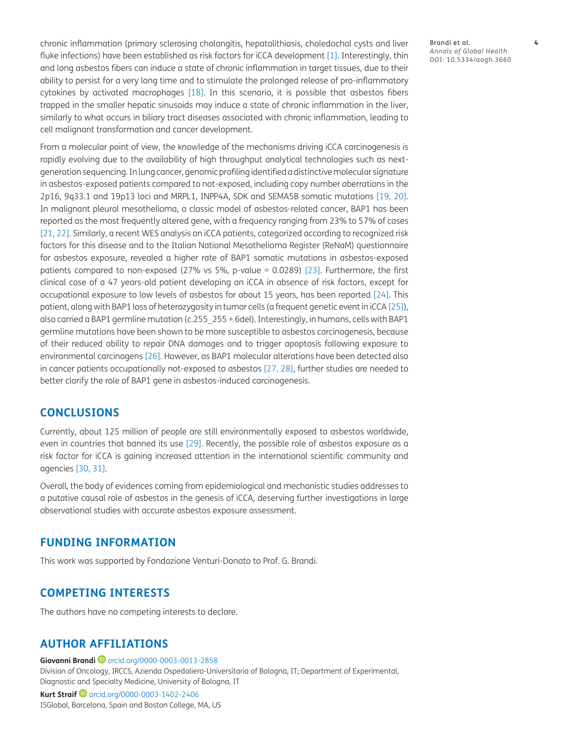chronic inflammation (primary sclerosing cholangitis, hepatolithiasis, choledochal cysts and liver fluke infections) have been established as risk factors for iCCA development [\[1\].](#page-4-0) Interestingly, thin and long asbestos fibers can induce a state of chronic inflammation in target tissues, due to their ability to persist for a very long time and to stimulate the prolonged release of pro-inflammatory cytokines by activated macrophages [\[18\]](#page-4-17). In this scenario, it is possible that asbestos fibers trapped in the smaller hepatic sinusoids may induce a state of chronic inflammation in the liver, similarly to what occurs in biliary tract diseases associated with chronic inflammation, leading to cell malignant transformation and cancer development.

From a molecular point of view, the knowledge of the mechanisms driving iCCA carcinogenesis is rapidly evolving due to the availability of high throughput analytical technologies such as nextgeneration sequencing. In lung cancer, genomic profiling identified a distinctive molecular signature in asbestos-exposed patients compared to not-exposed, including copy number aberrations in the 2p16, 9q33.1 and 19p13 loci and MRPL1, INPP4A, SDK and SEMA5B somatic mutations [19, 20]. In malignant pleural mesothelioma, a classic model of asbestos-related cancer, BAP1 has been reported as the most frequently altered gene, with a frequency ranging from 23% to 57% of cases [\[21,](#page-5-0) [22](#page-5-1)]. Similarly, a recent WES analysis on iCCA patients, categorized according to recognized risk factors for this disease and to the Italian National Mesothelioma Register (ReNaM) questionnaire for asbestos exposure, revealed a higher rate of BAP1 somatic mutations in asbestos-exposed patients compared to non-exposed (27% vs 5%, p-value = 0.0289) [\[23\].](#page-5-2) Furthermore, the first clinical case of a 47 years-old patient developing an iCCA in absence of risk factors, except for occupational exposure to low levels of asbestos for about 15 years, has been reported [\[24\]](#page-5-3). This patient, along with BAP1 loss of heterozygosity in tumor cells (a frequent genetic event in iCCA [\[25\]\)](#page-5-4), also carried a BAP1 germline mutation (c.255\_255 + 6del). Interestingly, in humans, cells with BAP1 germline mutations have been shown to be more susceptible to asbestos carcinogenesis, because of their reduced ability to repair DNA damages and to trigger apoptosis following exposure to environmental carcinogens [\[26\].](#page-5-5) However, as BAP1 molecular alterations have been detected also in cancer patients occupationally not-exposed to asbestos [\[27](#page-5-6), [28\]](#page-5-7), further studies are needed to better clarify the role of BAP1 gene in asbestos-induced carcinogenesis.

### **CONCLUSIONS**

Currently, about 125 million of people are still environmentally exposed to asbestos worldwide, even in countries that banned its use [\[29\]](#page-5-8). Recently, the possible role of asbestos exposure as a risk factor for iCCA is gaining increased attention in the international scientific community and agencies [\[30,](#page-5-9) [31](#page-5-10)].

Overall, the body of evidences coming from epidemiological and mechanistic studies addresses to a putative causal role of asbestos in the genesis of iCCA, deserving further investigations in large observational studies with accurate asbestos exposure assessment.

### **FUNDING INFORMATION**

This work was supported by Fondazione Venturi-Donato to Prof. G. Brandi.

### **COMPETING INTERESTS**

The authors have no competing interests to declare.

### <span id="page-3-0"></span>**AUTHOR AFFILIATIONS**

#### **Giovanni Brandi**[orcid.org/0000-0003-0013-2858](https://orcid.org/0000-0003-0013-2858)

Division of Oncology, IRCCS, Azienda Ospedaliero-Universitaria of Bologna, IT; Department of Experimental, Diagnostic and Specialty Medicine, University of Bologna, IT **Kurt Straif**[orcid.org/0000-0003-1402-2406](https://orcid.org/0000-0003-1402-2406)

ISGlobal, Barcelona, Spain and Boston College, MA, US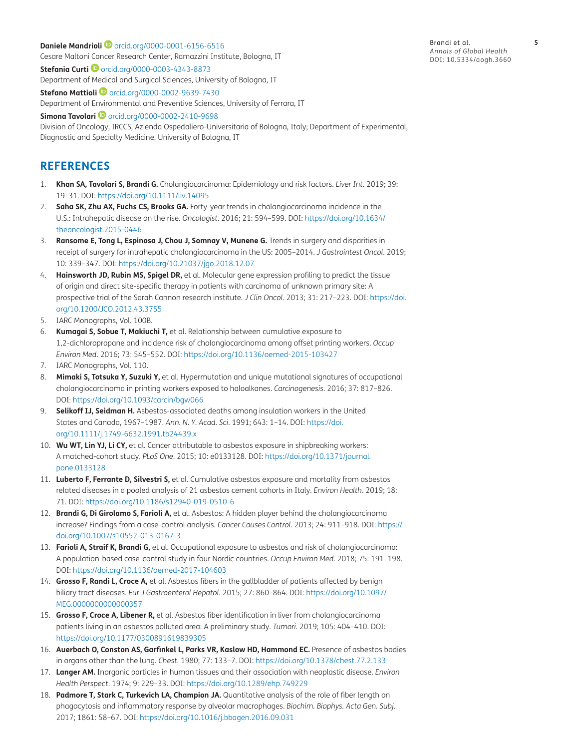### **Daniele Mandrioli**[orcid.org/0000-0001-6156-6516](https://orcid.org/0000-0001-6156-6516) Cesare Maltoni Cancer Research Center, Ramazzini Institute, Bologna, IT

**Stefania Curti ©** [orcid.org/0000-0003-4343-8873](https://orcid.org/0000-0003-4343-8873) Department of Medical and Surgical Sciences, University of Bologna, IT

**Stefano Mattioli <sup>1</sup>** [orcid.org/0000-0002-9639-7430](https://orcid.org/0000-0002-9639-7430) Department of Environmental and Preventive Sciences, University of Ferrara, IT

**Simona Tavolari iD** [orcid.org/0000-0002-2410-9698](https://orcid.org/0000-0002-2410-9698) Division of Oncology, IRCCS, Azienda Ospedaliero-Universitaria of Bologna, Italy; Department of Experimental, Diagnostic and Specialty Medicine, University of Bologna, IT

# **REFERENCES**

- <span id="page-4-0"></span>1. **Khan SA, Tavolari S, Brandi G.** Cholangiocarcinoma: Epidemiology and risk factors. *Liver Int*. 2019; 39: 19–31. DOI:<https://doi.org/10.1111/liv.14095>
- <span id="page-4-1"></span>2. **Saha SK, Zhu AX, Fuchs CS, Brooks GA.** Forty-year trends in cholangiocarcinoma incidence in the U.S.: Intrahepatic disease on the rise. *Oncologist*. 2016; 21: 594–599. DOI: [https://doi.org/10.1634/](https://doi.org/10.1634/theoncologist.2015-0446) [theoncologist.2015-0446](https://doi.org/10.1634/theoncologist.2015-0446)
- <span id="page-4-2"></span>3. **Ransome E, Tong L, Espinosa J, Chou J, Somnay V, Munene G.** Trends in surgery and disparities in receipt of surgery for intrahepatic cholangiocarcinoma in the US: 2005–2014. *J Gastrointest Oncol*. 2019; 10: 339–347. DOI: <https://doi.org/10.21037/jgo.2018.12.07>
- <span id="page-4-3"></span>4. **Hainsworth JD, Rubin MS, Spigel DR,** et al. Molecular gene expression profiling to predict the tissue of origin and direct site-specific therapy in patients with carcinoma of unknown primary site: A prospective trial of the Sarah Cannon research institute. *J Clin Oncol*. 2013; 31: 217–223. DOI: [https://doi.](https://doi.org/10.1200/JCO.2012.43.3755) [org/10.1200/JCO.2012.43.3755](https://doi.org/10.1200/JCO.2012.43.3755)
- <span id="page-4-4"></span>5. IARC Monographs, Vol. 100B.
- <span id="page-4-5"></span>6. **Kumagai S, Sobue T, Makiuchi T,** et al. Relationship between cumulative exposure to 1,2-dichloropropane and incidence risk of cholangiocarcinoma among offset printing workers. *Occup Environ Med*. 2016; 73: 545–552. DOI: <https://doi.org/10.1136/oemed-2015-103427>
- <span id="page-4-6"></span>7. IARC Monographs, Vol. 110.
- <span id="page-4-7"></span>8. **Mimaki S, Totsuka Y, Suzuki Y,** et al. Hypermutation and unique mutational signatures of occupational cholangiocarcinoma in printing workers exposed to haloalkanes. *Carcinogenesis*. 2016; 37: 817–826. DOI:<https://doi.org/10.1093/carcin/bgw066>
- <span id="page-4-8"></span>9. **Selikoff IJ, Seidman H.** Asbestos-associated deaths among insulation workers in the United States and Canada, 1967–1987. *Ann. N. Y. Acad. Sci*. 1991; 643: 1–14. DOI: [https://doi.](https://doi.org/10.1111/j.1749-6632.1991.tb24439.x) [org/10.1111/j.1749-6632.1991.tb24439.x](https://doi.org/10.1111/j.1749-6632.1991.tb24439.x)
- <span id="page-4-9"></span>10. **Wu WT, Lin YJ, Li CY,** et al. Cancer attributable to asbestos exposure in shipbreaking workers: A matched-cohort study. *PLoS One*. 2015; 10: e0133128. DOI: [https://doi.org/10.1371/journal.](https://doi.org/10.1371/journal.pone.0133128) [pone.0133128](https://doi.org/10.1371/journal.pone.0133128)
- <span id="page-4-10"></span>11. **Luberto F, Ferrante D, Silvestri S,** et al. Cumulative asbestos exposure and mortality from asbestos related diseases in a pooled analysis of 21 asbestos cement cohorts in Italy. *Environ Health*. 2019; 18: 71. DOI:<https://doi.org/10.1186/s12940-019-0510-6>
- <span id="page-4-11"></span>12. **Brandi G, Di Girolamo S, Farioli A,** et al. Asbestos: A hidden player behind the cholangiocarcinoma increase? Findings from a case-control analysis. *Cancer Causes Control*. 2013; 24: 911–918. DOI: [https://](https://doi.org/10.1007/s10552-013-0167-3) [doi.org/10.1007/s10552-013-0167-3](https://doi.org/10.1007/s10552-013-0167-3)
- <span id="page-4-12"></span>13. **Farioli A, Straif K, Brandi G,** et al. Occupational exposure to asbestos and risk of cholangiocarcinoma: A population-based case-control study in four Nordic countries. *Occup Environ Med*. 2018; 75: 191–198. DOI:<https://doi.org/10.1136/oemed-2017-104603>
- <span id="page-4-13"></span>14. **Grosso F, Randi L, Croce A,** et al. Asbestos fibers in the gallbladder of patients affected by benign biliary tract diseases. *Eur J Gastroenterol Hepatol*. 2015; 27: 860–864. DOI: [https://doi.org/10.1097/](https://doi.org/10.1097/MEG.0000000000000357) [MEG.0000000000000357](https://doi.org/10.1097/MEG.0000000000000357)
- <span id="page-4-14"></span>15. **Grosso F, Croce A, Libener R,** et al. Asbestos fiber identification in liver from cholangiocarcinoma patients living in an asbestos polluted area: A preliminary study. *Tumori*. 2019; 105: 404–410. DOI: <https://doi.org/10.1177/0300891619839305>
- <span id="page-4-15"></span>16. **Auerbach O, Conston AS, Garfinkel L, Parks VR, Kaslow HD, Hammond EC.** Presence of asbestos bodies in organs other than the lung. *Chest*. 1980; 77: 133–7. DOI:<https://doi.org/10.1378/chest.77.2.133>
- <span id="page-4-16"></span>17. **Langer AM.** Inorganic particles in human tissues and their association with neoplastic disease. *Environ Health Perspect*. 1974; 9: 229–33. DOI: <https://doi.org/10.1289/ehp.749229>
- <span id="page-4-17"></span>18. **Padmore T, Stark C, Turkevich LA, Champion JA.** Quantitative analysis of the role of fiber length on phagocytosis and inflammatory response by alveolar macrophages. *Biochim. Biophys. Acta Gen. Subj*. 2017; 1861: 58–67. DOI: <https://doi.org/10.1016/j.bbagen.2016.09.031>